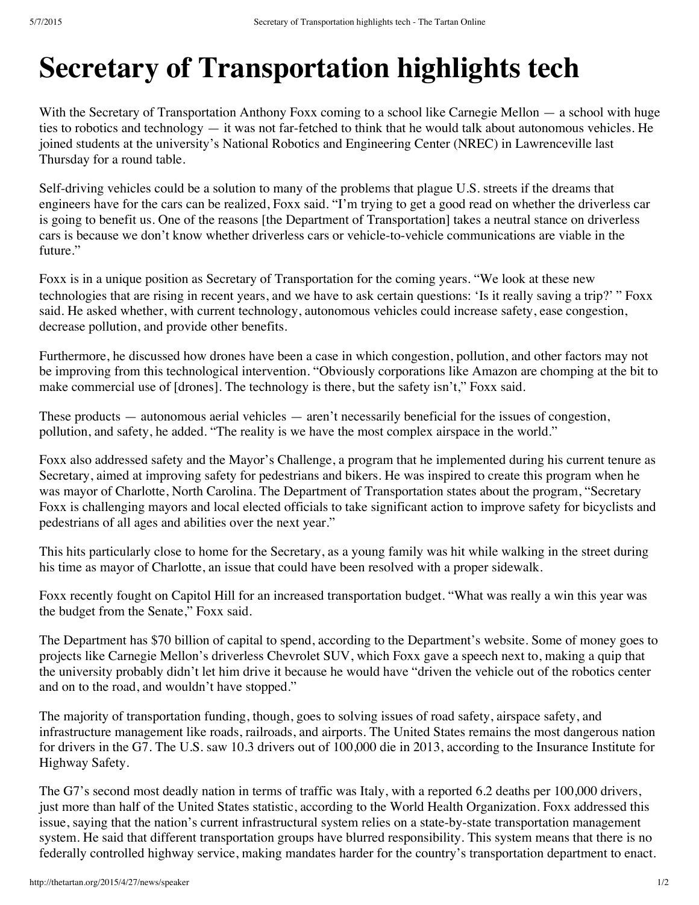## **[Secr](https://www.facebook.com/robert.tamburo)etary of Transportation highlights tech**

With the Secretary of Transportation Anthony Foxx coming to a school like Carnegie Mellon — a school with huge [tie](https://developers.facebook.com/docs/plugins/?footer=1)s to [robotics](https://developers.facebook.com/docs/plugins/?footer=1) and technology — it was not far-fetched to think that he would talk about autonomous vehicles. He joined students at the university's National Robotics and Engineering Center (NREC) in Lawrenceville last Thursday for a round table.

Self-driving vehicles could be a solution to many of the problems that plague U.S. streets if the dreams that engineers have for the cars can be realized, Foxx said. "I'm trying to get a good read on whether the driverless car is going to benefit us. One of the reasons [the Department of Transportation] takes a neutral stance on driverless cars is because we don't know whether driverless cars or vehicle-to-vehicle communications are viable in the future."

Foxx is in a unique position as Secretary of Transportation for the coming years. "We look at these new technologies that are rising in recent years, and we have to ask certain questions: 'Is it really saving a trip?' " Foxx said. He asked whether, with current technology, autonomous vehicles could increase safety, ease congestion, decrease pollution, and provide other benefits.

Furthermore, he discussed how drones have been a case in which congestion, pollution, and other factors may not be improving from this technological intervention. "Obviously corporations like Amazon are chomping at the bit to make commercial use of [drones]. The technology is there, but the safety isn't," Foxx said.

These products — autonomous aerial vehicles — aren't necessarily beneficial for the issues of congestion, pollution, and safety, he added. "The reality is we have the most complex airspace in the world."

Foxx also addressed safety and the Mayor's Challenge, a program that he implemented during his current tenure as Secretary, aimed at improving safety for pedestrians and bikers. He was inspired to create this program when he was mayor of Charlotte, North Carolina. The Department of Transportation states about the program, "Secretary Foxx is challenging mayors and local elected officials to take significant action to improve safety for bicyclists and pedestrians of all ages and abilities over the next year."

This hits particularly close to home for the Secretary, as a young family was hit while walking in the street during his time as mayor of Charlotte, an issue that could have been resolved with a proper sidewalk.

Foxx recently fought on Capitol Hill for an increased transportation budget. "What was really a win this year was the budget from the Senate," Foxx said.

The Department has \$70 billion of capital to spend, according to the Department's website. Some of money goes to projects like Carnegie Mellon's driverless Chevrolet SUV, which Foxx gave a speech next to, making a quip that the university probably didn't let him drive it because he would have "driven the vehicle out of the robotics center and on to the road, and wouldn't have stopped."

The majority of transportation funding, though, goes to solving issues of road safety, airspace safety, and infrastructure management like roads, railroads, and airports. The United States remains the most dangerous nation for drivers in the G7. The U.S. saw 10.3 drivers out of 100,000 die in 2013, according to the Insurance Institute for Highway Safety.

The G7's second most deadly nation in terms of traffic was Italy, with a reported 6.2 deaths per 100,000 drivers, just more than half of the United States statistic, according to the World Health Organization. Foxx addressed this issue, saying that the nation's current infrastructural system relies on a state-by-state transportation management system. He said that different transportation groups have blurred responsibility. This system means that there is no federally controlled highway service, making mandates harder for the country's transportation department to enact.